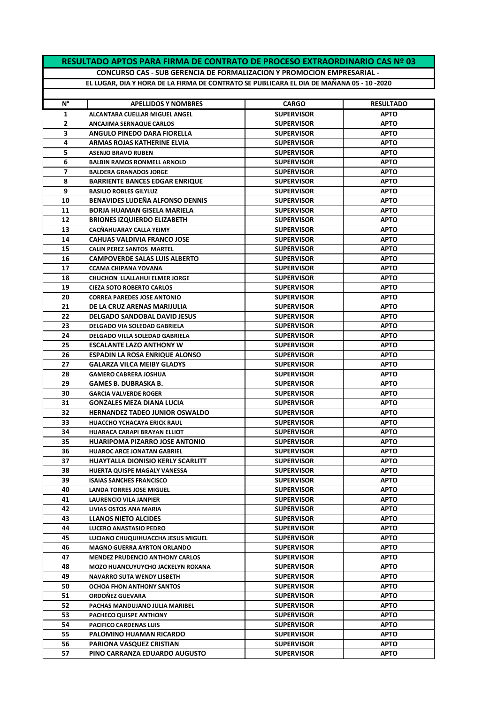|                                                                                          | <b>RESULTADO APTOS PARA FIRMA DE CONTRATO DE PROCESO EXTRAORDINARIO CAS Nº 03</b> |                   |                  |  |  |
|------------------------------------------------------------------------------------------|-----------------------------------------------------------------------------------|-------------------|------------------|--|--|
| <b>CONCURSO CAS - SUB GERENCIA DE FORMALIZACION Y PROMOCION EMPRESARIAL -</b>            |                                                                                   |                   |                  |  |  |
| EL LUGAR, DIA Y HORA DE LA FIRMA DE CONTRATO SE PUBLICARA EL DIA DE MAÑANA 05 - 10 -2020 |                                                                                   |                   |                  |  |  |
|                                                                                          |                                                                                   |                   |                  |  |  |
| N°                                                                                       | <b>APELLIDOS Y NOMBRES</b>                                                        | <b>CARGO</b>      | <b>RESULTADO</b> |  |  |
| 1                                                                                        | ALCANTARA CUELLAR MIGUEL ANGEL                                                    | <b>SUPERVISOR</b> | <b>APTO</b>      |  |  |
| 2                                                                                        | <b>ANCAJIMA SERNAQUE CARLOS</b>                                                   | <b>SUPERVISOR</b> | <b>APTO</b>      |  |  |
| 3                                                                                        | ANGULO PINEDO DARA FIORELLA                                                       | <b>SUPERVISOR</b> | <b>APTO</b>      |  |  |
| 4                                                                                        | ARMAS ROJAS KATHERINE ELVIA                                                       | <b>SUPERVISOR</b> | <b>APTO</b>      |  |  |
| 5                                                                                        | <b>ASENJO BRAVO RUBEN</b>                                                         | <b>SUPERVISOR</b> | <b>APTO</b>      |  |  |
| 6                                                                                        | <b>BALBIN RAMOS RONMELL ARNOLD</b>                                                | <b>SUPERVISOR</b> | <b>APTO</b>      |  |  |
| $\overline{\phantom{a}}$                                                                 | <b>BALDERA GRANADOS JORGE</b>                                                     | <b>SUPERVISOR</b> | <b>APTO</b>      |  |  |
| 8                                                                                        | <b>BARRIENTE BANCES EDGAR ENRIQUE</b>                                             | <b>SUPERVISOR</b> | <b>APTO</b>      |  |  |
| 9                                                                                        | <b>BASILIO ROBLES GILYLUZ</b>                                                     | <b>SUPERVISOR</b> | <b>APTO</b>      |  |  |
| 10                                                                                       | <b>BENAVIDES LUDEÑA ALFONSO DENNIS</b>                                            | <b>SUPERVISOR</b> | <b>APTO</b>      |  |  |
| 11                                                                                       | <b>BORJA HUAMAN GISELA MARIELA</b>                                                | <b>SUPERVISOR</b> | <b>APTO</b>      |  |  |
| 12                                                                                       | <b>BRIONES IZQUIERDO ELIZABETH</b>                                                | <b>SUPERVISOR</b> | <b>APTO</b>      |  |  |
| 13                                                                                       | CACÑAHUARAY CALLA YEIMY                                                           | <b>SUPERVISOR</b> | <b>APTO</b>      |  |  |
| 14                                                                                       | <b>CAHUAS VALDIVIA FRANCO JOSE</b>                                                | <b>SUPERVISOR</b> | <b>APTO</b>      |  |  |
| 15                                                                                       | <b>CALIN PEREZ SANTOS MARTEL</b>                                                  | <b>SUPERVISOR</b> | <b>APTO</b>      |  |  |
| 16                                                                                       | <b>CAMPOVERDE SALAS LUIS ALBERTO</b>                                              | <b>SUPERVISOR</b> | <b>APTO</b>      |  |  |
| 17                                                                                       | <b>CCAMA CHIPANA YOVANA</b>                                                       | <b>SUPERVISOR</b> | <b>APTO</b>      |  |  |
| 18                                                                                       | <b>CHUCHON LLALLAHUI ELMER JORGE</b>                                              | <b>SUPERVISOR</b> | <b>APTO</b>      |  |  |
| 19                                                                                       | <b>CIEZA SOTO ROBERTO CARLOS</b>                                                  | <b>SUPERVISOR</b> | <b>APTO</b>      |  |  |
| 20                                                                                       | <b>CORREA PAREDES JOSE ANTONIO</b>                                                | <b>SUPERVISOR</b> | <b>APTO</b>      |  |  |
| 21                                                                                       | DE LA CRUZ ARENAS MARIJULIA                                                       | <b>SUPERVISOR</b> | <b>APTO</b>      |  |  |
| 22                                                                                       | <b>DELGADO SANDOBAL DAVID JESUS</b>                                               | <b>SUPERVISOR</b> | <b>APTO</b>      |  |  |
| 23                                                                                       | DELGADO VIA SOLEDAD GABRIELA                                                      | <b>SUPERVISOR</b> | <b>APTO</b>      |  |  |
| 24                                                                                       | DELGADO VILLA SOLEDAD GABRIELA                                                    | <b>SUPERVISOR</b> | <b>APTO</b>      |  |  |
| 25                                                                                       | <b>ESCALANTE LAZO ANTHONY W</b>                                                   | <b>SUPERVISOR</b> | <b>APTO</b>      |  |  |
| 26                                                                                       | <b>ESPADIN LA ROSA ENRIQUE ALONSO</b>                                             | <b>SUPERVISOR</b> | <b>APTO</b>      |  |  |
| 27                                                                                       | <b>GALARZA VILCA MEIBY GLADYS</b>                                                 | <b>SUPERVISOR</b> | <b>APTO</b>      |  |  |
| 28                                                                                       | <b>GAMERO CABRERA JOSHUA</b>                                                      | <b>SUPERVISOR</b> | <b>APTO</b>      |  |  |
| 29                                                                                       | GAMES B. DUBRASKA B.                                                              | <b>SUPERVISOR</b> | <b>APTO</b>      |  |  |
| 30                                                                                       | <b>GARCIA VALVERDE ROGER</b>                                                      | <b>SUPERVISOR</b> | <b>APTO</b>      |  |  |
| 31                                                                                       | <b>GONZALES MEZA DIANA LUCIA</b>                                                  | <b>SUPERVISOR</b> | <b>APTO</b>      |  |  |
| 32                                                                                       | <b>HERNANDEZ TADEO JUNIOR OSWALDO</b>                                             | <b>SUPERVISOR</b> | <b>APTO</b>      |  |  |
| 33                                                                                       | HUACCHO YCHACAYA ERICK RAUL                                                       | <b>SUPERVISOR</b> | <b>APTO</b>      |  |  |
| 34                                                                                       | HUARACA CARAPI BRAYAN ELLIOT                                                      | <b>SUPERVISOR</b> | <b>APTO</b>      |  |  |
| 35                                                                                       | HUARIPOMA PIZARRO JOSE ANTONIO                                                    | <b>SUPERVISOR</b> | <b>APTO</b>      |  |  |
| 36                                                                                       | <b>HUAROC ARCE JONATAN GABRIEL</b>                                                | <b>SUPERVISOR</b> | <b>APTO</b>      |  |  |
| 37                                                                                       | HUAYTALLA DIONISIO KERLY SCARLITT                                                 | <b>SUPERVISOR</b> | <b>APTO</b>      |  |  |
| 38                                                                                       | HUERTA QUISPE MAGALY VANESSA                                                      | <b>SUPERVISOR</b> | <b>APTO</b>      |  |  |
| 39                                                                                       | <b>ISAIAS SANCHES FRANCISCO</b>                                                   | <b>SUPERVISOR</b> | <b>APTO</b>      |  |  |
| 40                                                                                       | <b>LANDA TORRES JOSE MIGUEL</b>                                                   | <b>SUPERVISOR</b> | <b>APTO</b>      |  |  |
| 41                                                                                       | LAURENCIO VILA JANPIER                                                            | <b>SUPERVISOR</b> | <b>APTO</b>      |  |  |
| 42                                                                                       | LIVIAS OSTOS ANA MARIA                                                            | <b>SUPERVISOR</b> | <b>APTO</b>      |  |  |
| 43                                                                                       | <b>LLANOS NIETO ALCIDES</b>                                                       | <b>SUPERVISOR</b> | <b>APTO</b>      |  |  |
| 44                                                                                       | LUCERO ANASTASIO PEDRO                                                            | <b>SUPERVISOR</b> | <b>APTO</b>      |  |  |
| 45                                                                                       | LUCIANO CHUQUIHUACCHA JESUS MIGUEL                                                | <b>SUPERVISOR</b> | <b>APTO</b>      |  |  |
| 46                                                                                       | <b>MAGNO GUERRA AYRTON ORLANDO</b>                                                | <b>SUPERVISOR</b> | <b>APTO</b>      |  |  |
| 47                                                                                       | <b>MENDEZ PRUDENCIO ANTHONY CARLOS</b>                                            | <b>SUPERVISOR</b> | <b>APTO</b>      |  |  |
| 48                                                                                       | MOZO HUANCUYUYCHO JACKELYN ROXANA                                                 | <b>SUPERVISOR</b> | <b>APTO</b>      |  |  |
| 49                                                                                       | <b>NAVARRO SUTA WENDY LISBETH</b>                                                 | <b>SUPERVISOR</b> | <b>APTO</b>      |  |  |
| 50                                                                                       | OCHOA FHON ANTHONY SANTOS                                                         | <b>SUPERVISOR</b> | <b>APTO</b>      |  |  |
| 51                                                                                       | ORDOÑEZ GUEVARA                                                                   | <b>SUPERVISOR</b> | <b>APTO</b>      |  |  |
| 52                                                                                       | PACHAS MANDUJANO JULIA MARIBEL                                                    | <b>SUPERVISOR</b> | <b>APTO</b>      |  |  |
| 53                                                                                       | <b>PACHECO QUISPE ANTHONY</b>                                                     | <b>SUPERVISOR</b> | <b>APTO</b>      |  |  |
| 54                                                                                       | PACIFICO CARDENAS LUIS                                                            | <b>SUPERVISOR</b> | <b>APTO</b>      |  |  |
| 55                                                                                       | PALOMINO HUAMAN RICARDO                                                           | <b>SUPERVISOR</b> | <b>APTO</b>      |  |  |
| 56                                                                                       | <b>PARIONA VASQUEZ CRISTIAN</b>                                                   | <b>SUPERVISOR</b> | <b>APTO</b>      |  |  |
| 57                                                                                       | PINO CARRANZA EDUARDO AUGUSTO                                                     | <b>SUPERVISOR</b> | <b>APTO</b>      |  |  |